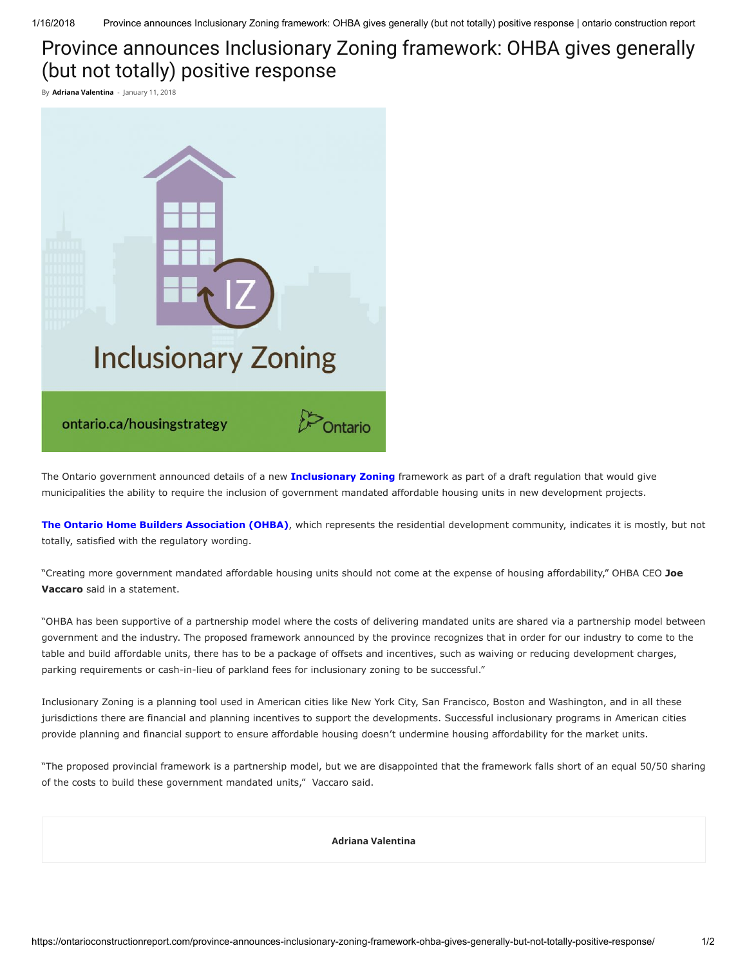1/16/2018 Province announces Inclusionary Zoning framework: OHBA gives generally (but not totally) positive response | ontario construction report

## Province announces Inclusionary Zoning framework: OHBA gives generally (but not totally) positive response

By **[Adriana Valentina](https://ontarioconstructionreport.com/author/adrianavalentina/)** - January 11, 2018



The Ontario government announced details of a new *[Inclusionary Zoning](https://news.ontario.ca/mho/en/2016/12/ontario-passes-legislation-to-create-more-affordable-housing-for-families.html)* framework as part of a draft regulation that would give municipalities the ability to require the inclusion of government mandated affordable housing units in new development projects.

[The Ontario Home Builders Association \(OHBA\)](https://www.ohba.ca/), which represents the residential development community, indicates it is mostly, but not totally, satisfied with the regulatory wording.

"Creating more government mandated affordable housing units should not come at the expense of housing affordability," OHBA CEO Joe Vaccaro said in a statement.

"OHBA has been supportive of a partnership model where the costs of delivering mandated units are shared via a partnership model between government and the industry. The proposed framework announced by the province recognizes that in order for our industry to come to the table and build affordable units, there has to be a package of offsets and incentives, such as waiving or reducing development charges, parking requirements or cash-in-lieu of parkland fees for inclusionary zoning to be successful."

Inclusionary Zoning is a planning tool used in American cities like New York City, San Francisco, Boston and Washington, and in all these jurisdictions there are financial and planning incentives to support the developments. Successful inclusionary programs in American cities provide planning and financial support to ensure affordable housing doesn't undermine housing affordability for the market units.

"The proposed provincial framework is a partnership model, but we are disappointed that the framework falls short of an equal 50/50 sharing of the costs to build these government mandated units," Vaccaro said.

[Adriana Valentina](https://ontarioconstructionreport.com/author/adrianavalentina/)